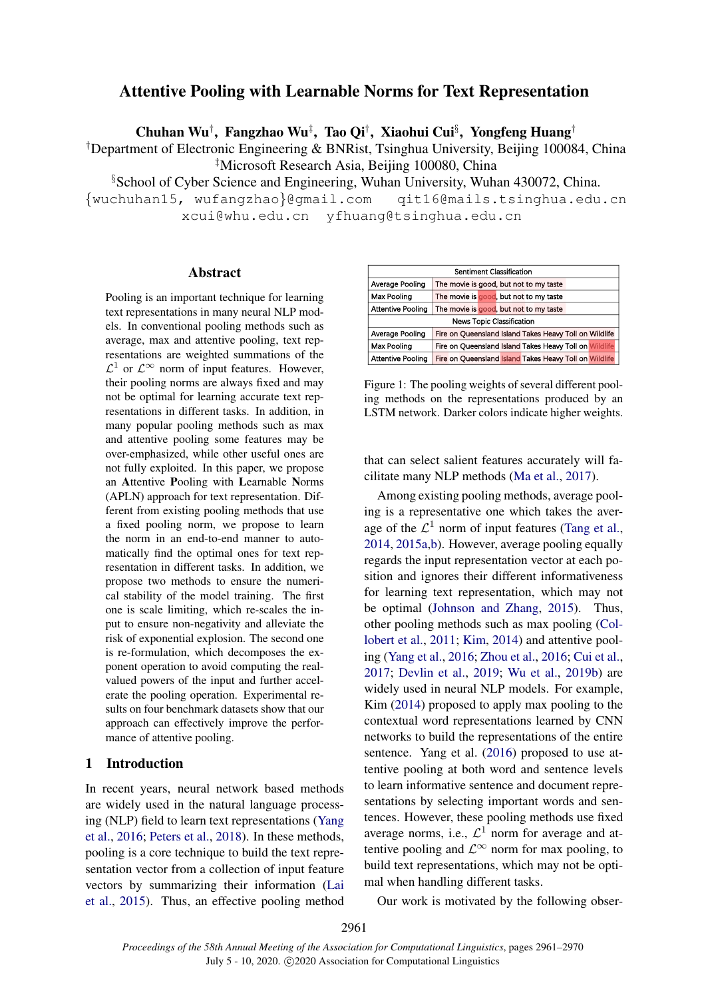# Attentive Pooling with Learnable Norms for Text Representation

Chuhan Wu<sup>†</sup>, Fangzhao Wu<sup>‡</sup>, Tao Qi<sup>†</sup>, Xiaohui Cui<sup>§</sup>, Yongfeng Huang<sup>†</sup>

†Department of Electronic Engineering & BNRist, Tsinghua University, Beijing 100084, China ‡Microsoft Research Asia, Beijing 100080, China

§School of Cyber Science and Engineering, Wuhan University, Wuhan 430072, China.

{wuchuhan15, wufangzhao}@gmail.com qit16@mails.tsinghua.edu.cn xcui@whu.edu.cn yfhuang@tsinghua.edu.cn

# Abstract

Pooling is an important technique for learning text representations in many neural NLP models. In conventional pooling methods such as average, max and attentive pooling, text representations are weighted summations of the  $\mathcal{L}^1$  or  $\mathcal{L}^{\infty}$  norm of input features. However, their pooling norms are always fixed and may not be optimal for learning accurate text representations in different tasks. In addition, in many popular pooling methods such as max and attentive pooling some features may be over-emphasized, while other useful ones are not fully exploited. In this paper, we propose an Attentive Pooling with Learnable Norms (APLN) approach for text representation. Different from existing pooling methods that use a fixed pooling norm, we propose to learn the norm in an end-to-end manner to automatically find the optimal ones for text representation in different tasks. In addition, we propose two methods to ensure the numerical stability of the model training. The first one is scale limiting, which re-scales the input to ensure non-negativity and alleviate the risk of exponential explosion. The second one is re-formulation, which decomposes the exponent operation to avoid computing the realvalued powers of the input and further accelerate the pooling operation. Experimental results on four benchmark datasets show that our approach can effectively improve the performance of attentive pooling.

#### 1 Introduction

In recent years, neural network based methods are widely used in the natural language processing (NLP) field to learn text representations [\(Yang](#page-9-0) [et al.,](#page-9-0) [2016;](#page-9-0) [Peters et al.,](#page-9-1) [2018\)](#page-9-1). In these methods, pooling is a core technique to build the text representation vector from a collection of input feature vectors by summarizing their information [\(Lai](#page-9-2) [et al.,](#page-9-2) [2015\)](#page-9-2). Thus, an effective pooling method

<span id="page-0-0"></span>

| Sentiment Classification         |                                                        |  |  |  |  |
|----------------------------------|--------------------------------------------------------|--|--|--|--|
| Average Pooling                  | The movie is good, but not to my taste                 |  |  |  |  |
| <b>Max Pooling</b>               | The movie is good, but not to my taste                 |  |  |  |  |
| <b>Attentive Pooling</b>         | The movie is good, but not to my taste                 |  |  |  |  |
| <b>News Topic Classification</b> |                                                        |  |  |  |  |
| Average Pooling                  | Fire on Queensland Island Takes Heavy Toll on Wildlife |  |  |  |  |
| Max Pooling                      | Fire on Queensland Island Takes Heavy Toll on Wildlife |  |  |  |  |
| <b>Attentive Pooling</b>         | Fire on Queensland Island Takes Heavy Toll on Wildlife |  |  |  |  |

Figure 1: The pooling weights of several different pooling methods on the representations produced by an LSTM network. Darker colors indicate higher weights.

that can select salient features accurately will facilitate many NLP methods [\(Ma et al.,](#page-9-3) [2017\)](#page-9-3).

Among existing pooling methods, average pooling is a representative one which takes the average of the  $\mathcal{L}^1$  norm of input features [\(Tang et al.,](#page-9-4) [2014,](#page-9-4) [2015a](#page-9-5)[,b\)](#page-9-6). However, average pooling equally regards the input representation vector at each position and ignores their different informativeness for learning text representation, which may not be optimal [\(Johnson and Zhang,](#page-8-0) [2015\)](#page-8-0). Thus, other pooling methods such as max pooling [\(Col](#page-8-1)[lobert et al.,](#page-8-1) [2011;](#page-8-1) [Kim,](#page-8-2) [2014\)](#page-8-2) and attentive pooling [\(Yang et al.,](#page-9-0) [2016;](#page-9-0) [Zhou et al.,](#page-9-7) [2016;](#page-9-7) [Cui et al.,](#page-8-3) [2017;](#page-8-3) [Devlin et al.,](#page-8-4) [2019;](#page-8-4) [Wu et al.,](#page-9-8) [2019b\)](#page-9-8) are widely used in neural NLP models. For example, Kim [\(2014\)](#page-8-2) proposed to apply max pooling to the contextual word representations learned by CNN networks to build the representations of the entire sentence. Yang et al. [\(2016\)](#page-9-0) proposed to use attentive pooling at both word and sentence levels to learn informative sentence and document representations by selecting important words and sentences. However, these pooling methods use fixed average norms, i.e.,  $\mathcal{L}^1$  norm for average and attentive pooling and  $\mathcal{L}^{\infty}$  norm for max pooling, to build text representations, which may not be optimal when handling different tasks.

Our work is motivated by the following obser-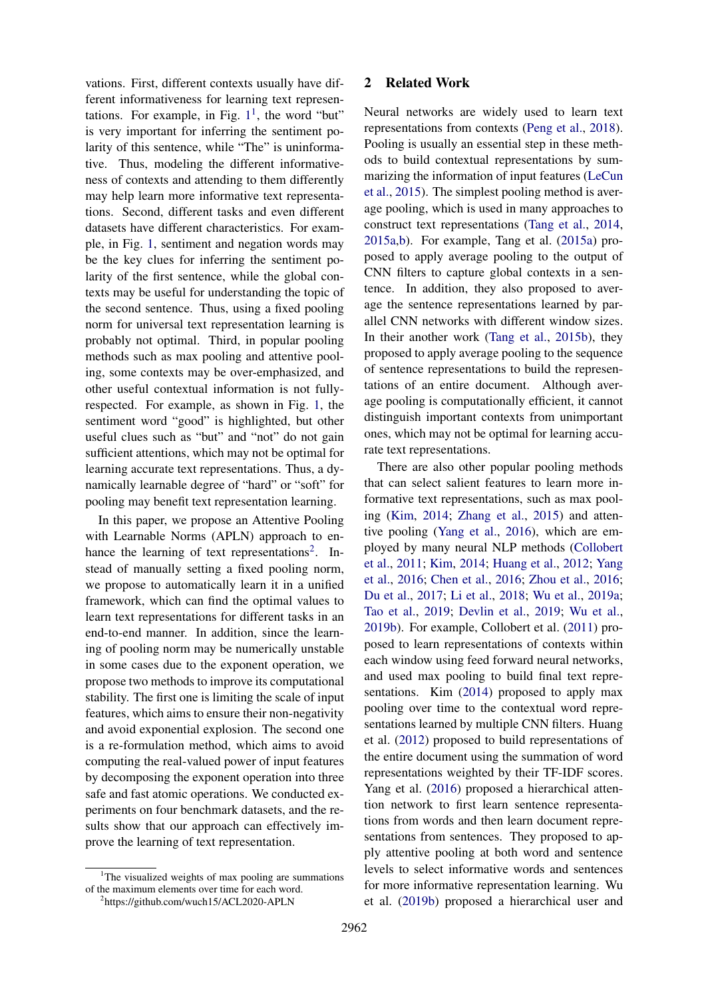vations. First, different contexts usually have different informativeness for learning text representations. For example, in Fig.  $1<sup>1</sup>$  $1<sup>1</sup>$ , the word "but" is very important for inferring the sentiment polarity of this sentence, while "The" is uninformative. Thus, modeling the different informativeness of contexts and attending to them differently may help learn more informative text representations. Second, different tasks and even different datasets have different characteristics. For example, in Fig. [1,](#page-0-0) sentiment and negation words may be the key clues for inferring the sentiment polarity of the first sentence, while the global contexts may be useful for understanding the topic of the second sentence. Thus, using a fixed pooling norm for universal text representation learning is probably not optimal. Third, in popular pooling methods such as max pooling and attentive pooling, some contexts may be over-emphasized, and other useful contextual information is not fullyrespected. For example, as shown in Fig. [1,](#page-0-0) the sentiment word "good" is highlighted, but other useful clues such as "but" and "not" do not gain sufficient attentions, which may not be optimal for learning accurate text representations. Thus, a dynamically learnable degree of "hard" or "soft" for pooling may benefit text representation learning.

In this paper, we propose an Attentive Pooling with Learnable Norms (APLN) approach to en-hance the learning of text representations<sup>[2](#page-1-1)</sup>. Instead of manually setting a fixed pooling norm, we propose to automatically learn it in a unified framework, which can find the optimal values to learn text representations for different tasks in an end-to-end manner. In addition, since the learning of pooling norm may be numerically unstable in some cases due to the exponent operation, we propose two methods to improve its computational stability. The first one is limiting the scale of input features, which aims to ensure their non-negativity and avoid exponential explosion. The second one is a re-formulation method, which aims to avoid computing the real-valued power of input features by decomposing the exponent operation into three safe and fast atomic operations. We conducted experiments on four benchmark datasets, and the results show that our approach can effectively improve the learning of text representation.

#### 2 Related Work

Neural networks are widely used to learn text representations from contexts [\(Peng et al.,](#page-9-9) [2018\)](#page-9-9). Pooling is usually an essential step in these methods to build contextual representations by summarizing the information of input features [\(LeCun](#page-9-10) [et al.,](#page-9-10) [2015\)](#page-9-10). The simplest pooling method is average pooling, which is used in many approaches to construct text representations [\(Tang et al.,](#page-9-4) [2014,](#page-9-4) [2015a,](#page-9-5)[b\)](#page-9-6). For example, Tang et al. [\(2015a\)](#page-9-5) proposed to apply average pooling to the output of CNN filters to capture global contexts in a sentence. In addition, they also proposed to average the sentence representations learned by parallel CNN networks with different window sizes. In their another work [\(Tang et al.,](#page-9-6) [2015b\)](#page-9-6), they proposed to apply average pooling to the sequence of sentence representations to build the representations of an entire document. Although average pooling is computationally efficient, it cannot distinguish important contexts from unimportant ones, which may not be optimal for learning accurate text representations.

There are also other popular pooling methods that can select salient features to learn more informative text representations, such as max pooling [\(Kim,](#page-8-2) [2014;](#page-8-2) [Zhang et al.,](#page-9-11) [2015\)](#page-9-11) and attentive pooling [\(Yang et al.,](#page-9-0) [2016\)](#page-9-0), which are employed by many neural NLP methods [\(Collobert](#page-8-1) [et al.,](#page-8-1) [2011;](#page-8-1) [Kim,](#page-8-2) [2014;](#page-8-2) [Huang et al.,](#page-8-5) [2012;](#page-8-5) [Yang](#page-9-0) [et al.,](#page-9-0) [2016;](#page-9-0) [Chen et al.,](#page-8-6) [2016;](#page-8-6) [Zhou et al.,](#page-9-7) [2016;](#page-9-7) [Du et al.,](#page-8-7) [2017;](#page-8-7) [Li et al.,](#page-9-12) [2018;](#page-9-12) [Wu et al.,](#page-9-13) [2019a;](#page-9-13) [Tao et al.,](#page-9-14) [2019;](#page-9-14) [Devlin et al.,](#page-8-4) [2019;](#page-8-4) [Wu et al.,](#page-9-8) [2019b\)](#page-9-8). For example, Collobert et al. [\(2011\)](#page-8-1) proposed to learn representations of contexts within each window using feed forward neural networks, and used max pooling to build final text representations. Kim [\(2014\)](#page-8-2) proposed to apply max pooling over time to the contextual word representations learned by multiple CNN filters. Huang et al. [\(2012\)](#page-8-5) proposed to build representations of the entire document using the summation of word representations weighted by their TF-IDF scores. Yang et al. [\(2016\)](#page-9-0) proposed a hierarchical attention network to first learn sentence representations from words and then learn document representations from sentences. They proposed to apply attentive pooling at both word and sentence levels to select informative words and sentences for more informative representation learning. Wu et al. [\(2019b\)](#page-9-8) proposed a hierarchical user and

<span id="page-1-0"></span><sup>&</sup>lt;sup>1</sup>The visualized weights of max pooling are summations of the maximum elements over time for each word.

<span id="page-1-1"></span><sup>2</sup> https://github.com/wuch15/ACL2020-APLN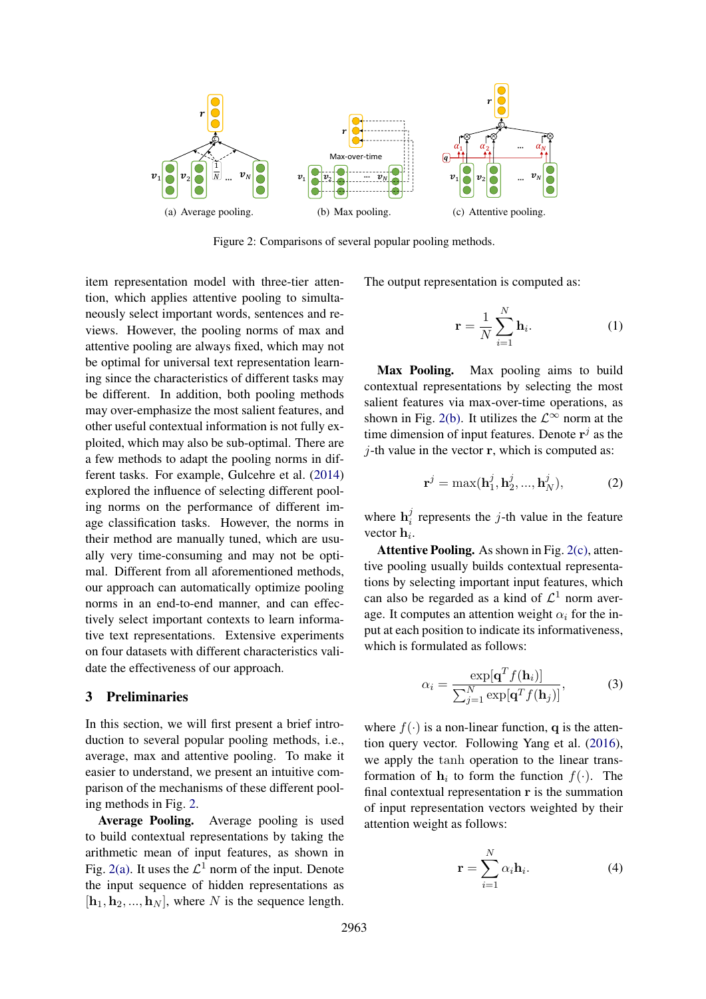<span id="page-2-1"></span><span id="page-2-0"></span>

<span id="page-2-2"></span>t, Figure 2: Comparisons of several popular pooling methods.

ation model with the tion, which applies attentive pooling to simultaneously select important words, sentences and reitem representation model with three-tier attenviews. However, the pooling norms of max and attentive pooling are always fixed, which may not be optimal for universal text representation learning since the characteristics of different tasks may be different. In addition, both pooling methods may over-emphasize the most salient features, and other useful contextual information is not fully exploited, which may also be sub-optimal. There are a few methods to adapt the pooling norms in different tasks. For example, Gulcehre et al. [\(2014\)](#page-8-8) explored the influence of selecting different pooling norms on the performance of different image classification tasks. However, the norms in their method are manually tuned, which are usually very time-consuming and may not be optimal. Different from all aforementioned methods, our approach can automatically optimize pooling norms in an end-to-end manner, and can effectively select important contexts to learn informative text representations. Extensive experiments on four datasets with different characteristics validate the effectiveness of our approach.

## 3 Preliminaries

In this section, we will first present a brief introduction to several popular pooling methods, i.e., average, max and attentive pooling. To make it easier to understand, we present an intuitive comparison of the mechanisms of these different pooling methods in Fig. [2.](#page-2-0)

Average Pooling. Average pooling is used to build contextual representations by taking the arithmetic mean of input features, as shown in Fig. [2\(a\).](#page-2-1) It uses the  $\mathcal{L}^1$  norm of the input. Denote the input sequence of hidden representations as  $[\mathbf{h}_1, \mathbf{h}_2, ..., \mathbf{h}_N]$ , where N is the sequence length.

<span id="page-2-3"></span>e output representation is c The output representation is computed as:

$$
\mathbf{r} = \frac{1}{N} \sum_{i=1}^{N} \mathbf{h}_i.
$$
 (1)

Max Pooling. Max pooling aims to build contextual representations by selecting the most salient features via max-over-time operations, as shown in Fig. [2\(b\).](#page-2-2) It utilizes the  $\mathcal{L}^{\infty}$  norm at the time dimension of input features. Denote  $\mathbf{r}^j$  as the  $j$ -th value in the vector  $r$ , which is computed as:

$$
\mathbf{r}^j = \max(\mathbf{h}_1^j, \mathbf{h}_2^j, ..., \mathbf{h}_N^j),\tag{2}
$$

where  $\mathbf{h}_i^j$  $i$  represents the j-th value in the feature vector  $\mathbf{h}_i$ .

Attentive Pooling. As shown in Fig. [2\(c\),](#page-2-3) attentive pooling usually builds contextual representations by selecting important input features, which can also be regarded as a kind of  $\mathcal{L}^1$  norm average. It computes an attention weight  $\alpha_i$  for the input at each position to indicate its informativeness, which is formulated as follows:

$$
\alpha_i = \frac{\exp[\mathbf{q}^T f(\mathbf{h}_i)]}{\sum_{j=1}^N \exp[\mathbf{q}^T f(\mathbf{h}_j)]},
$$
(3)

where  $f(\cdot)$  is a non-linear function, q is the attention query vector. Following Yang et al. [\(2016\)](#page-9-0), we apply the tanh operation to the linear transformation of  $\mathbf{h}_i$  to form the function  $f(\cdot)$ . The final contextual representation  $\bf{r}$  is the summation of input representation vectors weighted by their attention weight as follows:

$$
\mathbf{r} = \sum_{i=1}^{N} \alpha_i \mathbf{h}_i.
$$
 (4)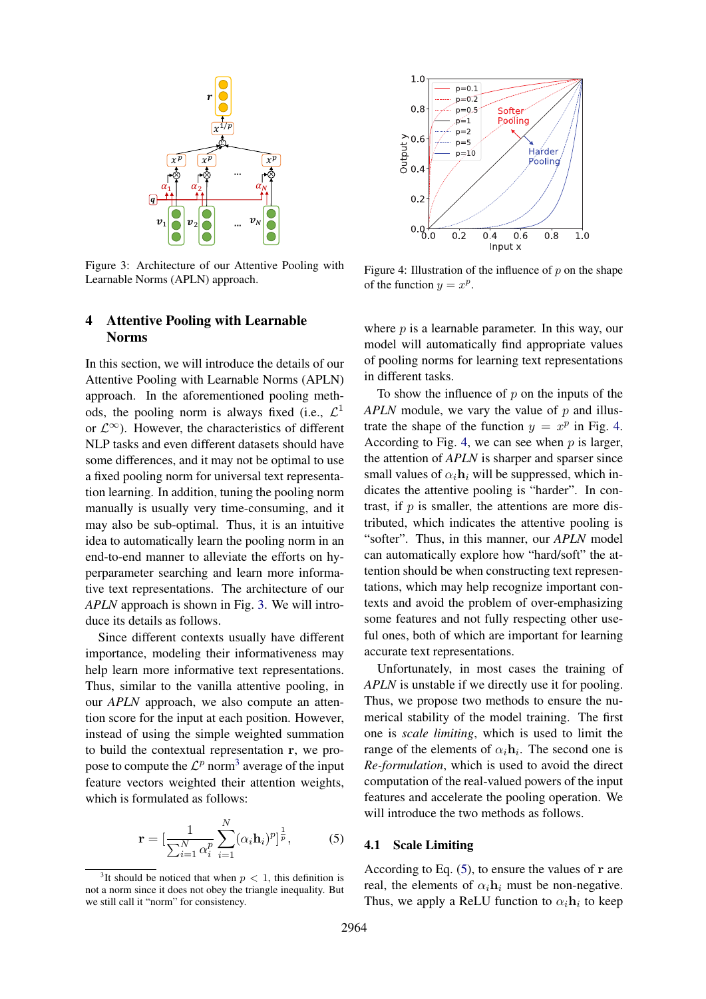<span id="page-3-0"></span>

Figure 3: Architecture of our Attentive Pooling with Learnable Norms (APLN) approach.

#### <span id="page-3-2"></span> $1.0$  $p=0.1$  $p = 0.2$  $0.8$  $p=0.5$ Softer Pooling  $p=1$  $p=2$  $\begin{array}{c}\n\text{Output} \\
\text{Output} \\
\text{0.4}\n\end{array}$  $p=5$ Harder  $p=10$ Pooling  $0.2$  $0.06$  $0.2$  $0.6$  $0.8$  $1.0$  $0.4$ Input x

Figure 4: Illustration of the influence of  $p$  on the shape of the function  $y = x^p$ .

# 4 Attentive Pooling with Learnable Norms

In this section, we will introduce the details of our Attentive Pooling with Learnable Norms (APLN) approach. In the aforementioned pooling methods, the pooling norm is always fixed (i.e.,  $\mathcal{L}^1$ or  $\mathcal{L}^{\infty}$ ). However, the characteristics of different NLP tasks and even different datasets should have some differences, and it may not be optimal to use a fixed pooling norm for universal text representation learning. In addition, tuning the pooling norm manually is usually very time-consuming, and it may also be sub-optimal. Thus, it is an intuitive idea to automatically learn the pooling norm in an end-to-end manner to alleviate the efforts on hyperparameter searching and learn more informative text representations. The architecture of our *APLN* approach is shown in Fig. [3.](#page-3-0) We will introduce its details as follows.

Since different contexts usually have different importance, modeling their informativeness may help learn more informative text representations. Thus, similar to the vanilla attentive pooling, in our *APLN* approach, we also compute an attention score for the input at each position. However, instead of using the simple weighted summation to build the contextual representation r, we propose to compute the  $\mathcal{L}^p$  norm<sup>[3](#page-3-1)</sup> average of the input feature vectors weighted their attention weights, which is formulated as follows:

<span id="page-3-3"></span>
$$
\mathbf{r} = \left[\frac{1}{\sum_{i=1}^{N} \alpha_i^p} \sum_{i=1}^{N} (\alpha_i \mathbf{h}_i)^p\right]^{\frac{1}{p}},\tag{5}
$$

where  $p$  is a learnable parameter. In this way, our model will automatically find appropriate values of pooling norms for learning text representations in different tasks.

To show the influence of  $p$  on the inputs of the *APLN* module, we vary the value of p and illustrate the shape of the function  $y = x^p$  in Fig. [4.](#page-3-2) According to Fig. [4,](#page-3-2) we can see when  $p$  is larger, the attention of *APLN* is sharper and sparser since small values of  $\alpha_i$ **h**<sub>i</sub> will be suppressed, which indicates the attentive pooling is "harder". In contrast, if  $p$  is smaller, the attentions are more distributed, which indicates the attentive pooling is "softer". Thus, in this manner, our *APLN* model can automatically explore how "hard/soft" the attention should be when constructing text representations, which may help recognize important contexts and avoid the problem of over-emphasizing some features and not fully respecting other useful ones, both of which are important for learning accurate text representations.

Unfortunately, in most cases the training of *APLN* is unstable if we directly use it for pooling. Thus, we propose two methods to ensure the numerical stability of the model training. The first one is *scale limiting*, which is used to limit the range of the elements of  $\alpha_i \mathbf{h}_i$ . The second one is *Re-formulation*, which is used to avoid the direct computation of the real-valued powers of the input features and accelerate the pooling operation. We will introduce the two methods as follows.

#### 4.1 Scale Limiting

According to Eq.  $(5)$ , to ensure the values of r are real, the elements of  $\alpha_i \mathbf{h}_i$  must be non-negative. Thus, we apply a ReLU function to  $\alpha_i \mathbf{h}_i$  to keep

<span id="page-3-1"></span><sup>&</sup>lt;sup>3</sup>It should be noticed that when  $p < 1$ , this definition is not a norm since it does not obey the triangle inequality. But we still call it "norm" for consistency.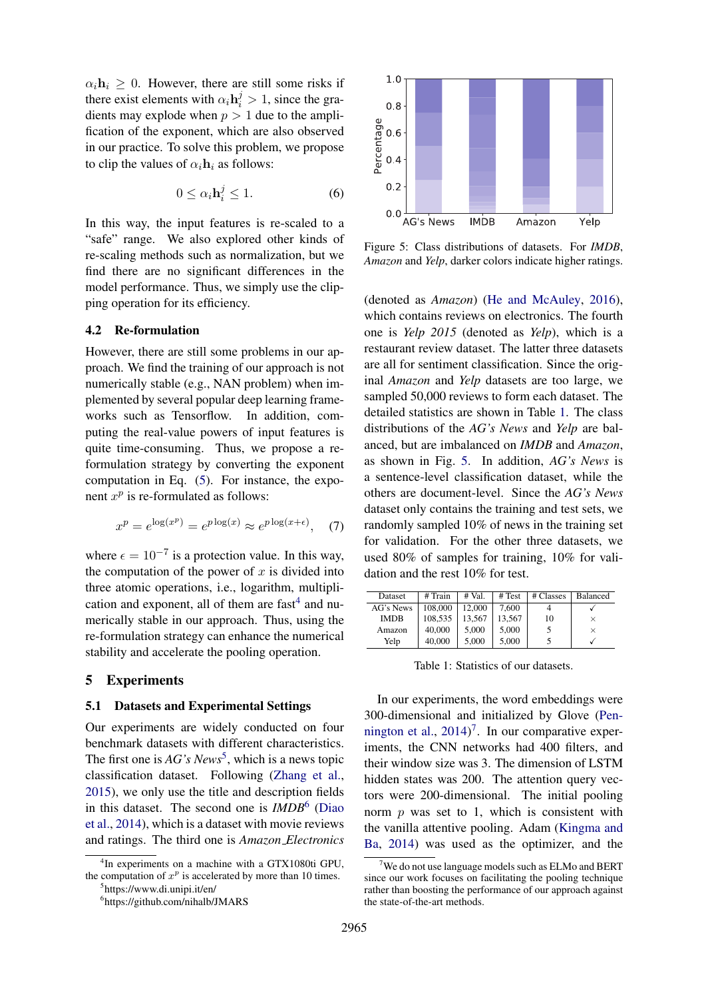$\alpha_i \mathbf{h}_i \geq 0$ . However, there are still some risks if there exist elements with  $\alpha_i \mathbf{h}_i^j > 1$ , since the gradients may explode when  $p > 1$  due to the amplification of the exponent, which are also observed in our practice. To solve this problem, we propose to clip the values of  $\alpha_i \mathbf{h}_i$  as follows:

$$
0 \le \alpha_i \mathbf{h}_i^j \le 1. \tag{6}
$$

In this way, the input features is re-scaled to a "safe" range. We also explored other kinds of re-scaling methods such as normalization, but we find there are no significant differences in the model performance. Thus, we simply use the clipping operation for its efficiency.

# 4.2 Re-formulation

However, there are still some problems in our approach. We find the training of our approach is not numerically stable (e.g., NAN problem) when implemented by several popular deep learning frameworks such as Tensorflow. In addition, computing the real-value powers of input features is quite time-consuming. Thus, we propose a reformulation strategy by converting the exponent computation in Eq. [\(5\)](#page-3-3). For instance, the exponent  $x^p$  is re-formulated as follows:

$$
x^{p} = e^{\log(x^{p})} = e^{p \log(x)} \approx e^{p \log(x + \epsilon)}, \quad (7)
$$

where  $\epsilon = 10^{-7}$  is a protection value. In this way, the computation of the power of  $x$  is divided into three atomic operations, i.e., logarithm, multiplication and exponent, all of them are  $fast<sup>4</sup>$  $fast<sup>4</sup>$  $fast<sup>4</sup>$  and numerically stable in our approach. Thus, using the re-formulation strategy can enhance the numerical stability and accelerate the pooling operation.

# 5 Experiments

#### 5.1 Datasets and Experimental Settings

Our experiments are widely conducted on four benchmark datasets with different characteristics. The first one is *AG's News*<sup>[5](#page-4-1)</sup>, which is a news topic classification dataset. Following [\(Zhang et al.,](#page-9-11) [2015\)](#page-9-11), we only use the title and description fields in this dataset. The second one is *IMDB*[6](#page-4-2) [\(Diao](#page-8-9) [et al.,](#page-8-9) [2014\)](#page-8-9), which is a dataset with movie reviews and ratings. The third one is *Amazon Electronics*

<span id="page-4-4"></span>

Figure 5: Class distributions of datasets. For *IMDB*, *Amazon* and *Yelp*, darker colors indicate higher ratings.

(denoted as *Amazon*) [\(He and McAuley,](#page-8-10) [2016\)](#page-8-10), which contains reviews on electronics. The fourth one is *Yelp 2015* (denoted as *Yelp*), which is a restaurant review dataset. The latter three datasets are all for sentiment classification. Since the original *Amazon* and *Yelp* datasets are too large, we sampled 50,000 reviews to form each dataset. The detailed statistics are shown in Table [1.](#page-4-3) The class distributions of the *AG's News* and *Yelp* are balanced, but are imbalanced on *IMDB* and *Amazon*, as shown in Fig. [5.](#page-4-4) In addition, *AG's News* is a sentence-level classification dataset, while the others are document-level. Since the *AG's News* dataset only contains the training and test sets, we randomly sampled 10% of news in the training set for validation. For the other three datasets, we used 80% of samples for training, 10% for validation and the rest 10% for test.

<span id="page-4-3"></span>

| Dataset     | # Train | $#$ Val. | # Test | # Classes | <b>Balanced</b> |
|-------------|---------|----------|--------|-----------|-----------------|
| AG's News   | 108,000 | 12.000   | 7.600  |           |                 |
| <b>IMDB</b> | 108.535 | 13.567   | 13.567 | 10        | $\times$        |
| Amazon      | 40,000  | 5.000    | 5.000  |           | $\times$        |
| Yelp        | 40,000  | 5.000    | 5,000  |           |                 |
|             |         |          |        |           |                 |

Table 1: Statistics of our datasets.

In our experiments, the word embeddings were 300-dimensional and initialized by Glove [\(Pen](#page-9-15)[nington et al.,](#page-9-15)  $2014$ <sup>[7](#page-4-5)</sup>. In our comparative experiments, the CNN networks had 400 filters, and their window size was 3. The dimension of LSTM hidden states was 200. The attention query vectors were 200-dimensional. The initial pooling norm  $p$  was set to 1, which is consistent with the vanilla attentive pooling. Adam [\(Kingma and](#page-9-16) [Ba,](#page-9-16) [2014\)](#page-9-16) was used as the optimizer, and the

<span id="page-4-0"></span><sup>4</sup> In experiments on a machine with a GTX1080ti GPU, the computation of  $x^p$  is accelerated by more than 10 times.

<span id="page-4-1"></span><sup>5</sup> https://www.di.unipi.it/en/

<span id="page-4-2"></span><sup>6</sup> https://github.com/nihalb/JMARS

<span id="page-4-5"></span> $7$ We do not use language models such as ELMo and BERT since our work focuses on facilitating the pooling technique rather than boosting the performance of our approach against the state-of-the-art methods.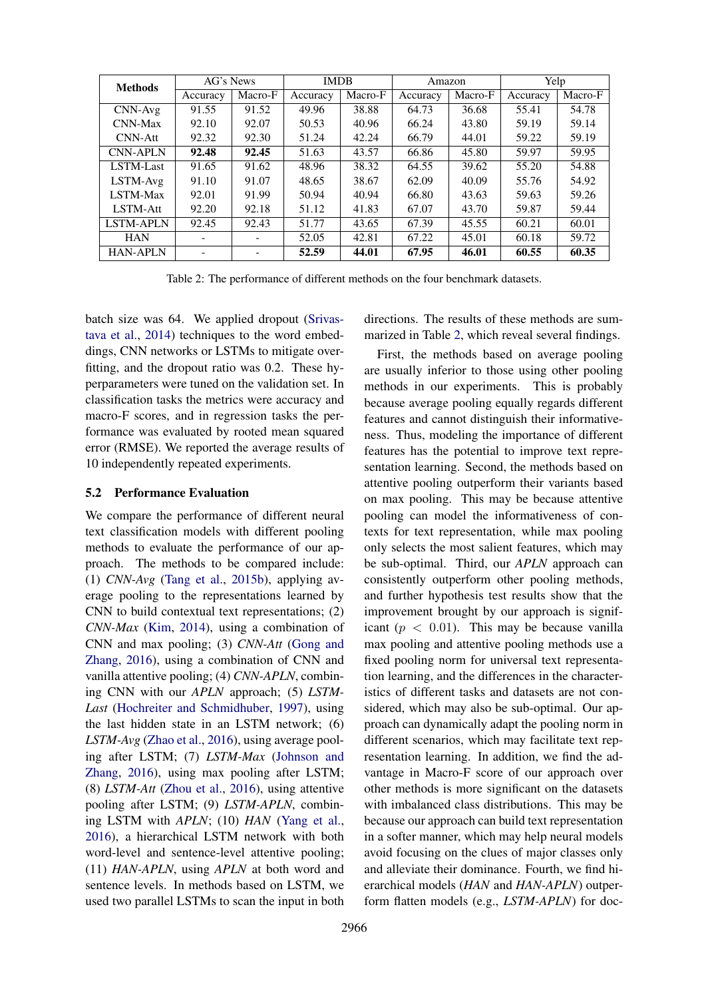<span id="page-5-0"></span>

| <b>Methods</b>   | AG's News |         | <b>IMDB</b> |         | Amazon   |         | Yelp     |         |
|------------------|-----------|---------|-------------|---------|----------|---------|----------|---------|
|                  | Accuracy  | Macro-F | Accuracy    | Macro-F | Accuracy | Macro-F | Accuracy | Macro-F |
| CNN-Avg          | 91.55     | 91.52   | 49.96       | 38.88   | 64.73    | 36.68   | 55.41    | 54.78   |
| <b>CNN-Max</b>   | 92.10     | 92.07   | 50.53       | 40.96   | 66.24    | 43.80   | 59.19    | 59.14   |
| <b>CNN-Att</b>   | 92.32     | 92.30   | 51.24       | 42.24   | 66.79    | 44.01   | 59.22    | 59.19   |
| <b>CNN-APLN</b>  | 92.48     | 92.45   | 51.63       | 43.57   | 66.86    | 45.80   | 59.97    | 59.95   |
| LSTM-Last        | 91.65     | 91.62   | 48.96       | 38.32   | 64.55    | 39.62   | 55.20    | 54.88   |
| LSTM-Avg         | 91.10     | 91.07   | 48.65       | 38.67   | 62.09    | 40.09   | 55.76    | 54.92   |
| <b>LSTM-Max</b>  | 92.01     | 91.99   | 50.94       | 40.94   | 66.80    | 43.63   | 59.63    | 59.26   |
| LSTM-Att         | 92.20     | 92.18   | 51.12       | 41.83   | 67.07    | 43.70   | 59.87    | 59.44   |
| <b>LSTM-APLN</b> | 92.45     | 92.43   | 51.77       | 43.65   | 67.39    | 45.55   | 60.21    | 60.01   |
| <b>HAN</b>       |           |         | 52.05       | 42.81   | 67.22    | 45.01   | 60.18    | 59.72   |
| <b>HAN-APLN</b>  |           |         | 52.59       | 44.01   | 67.95    | 46.01   | 60.55    | 60.35   |

Table 2: The performance of different methods on the four benchmark datasets.

batch size was 64. We applied dropout [\(Srivas](#page-9-17)[tava et al.,](#page-9-17) [2014\)](#page-9-17) techniques to the word embeddings, CNN networks or LSTMs to mitigate overfitting, and the dropout ratio was 0.2. These hyperparameters were tuned on the validation set. In classification tasks the metrics were accuracy and macro-F scores, and in regression tasks the performance was evaluated by rooted mean squared error (RMSE). We reported the average results of 10 independently repeated experiments.

#### 5.2 Performance Evaluation

We compare the performance of different neural text classification models with different pooling methods to evaluate the performance of our approach. The methods to be compared include: (1) *CNN-Avg* [\(Tang et al.,](#page-9-6) [2015b\)](#page-9-6), applying average pooling to the representations learned by CNN to build contextual text representations; (2) *CNN-Max* [\(Kim,](#page-8-2) [2014\)](#page-8-2), using a combination of CNN and max pooling; (3) *CNN-Att* [\(Gong and](#page-8-11) [Zhang,](#page-8-11) [2016\)](#page-8-11), using a combination of CNN and vanilla attentive pooling; (4) *CNN-APLN*, combining CNN with our *APLN* approach; (5) *LSTM-Last* [\(Hochreiter and Schmidhuber,](#page-8-12) [1997\)](#page-8-12), using the last hidden state in an LSTM network; (6) *LSTM-Avg* [\(Zhao et al.,](#page-9-18) [2016\)](#page-9-18), using average pooling after LSTM; (7) *LSTM-Max* [\(Johnson and](#page-8-13) [Zhang,](#page-8-13) [2016\)](#page-8-13), using max pooling after LSTM; (8) *LSTM-Att* [\(Zhou et al.,](#page-9-7) [2016\)](#page-9-7), using attentive pooling after LSTM; (9) *LSTM-APLN*, combining LSTM with *APLN*; (10) *HAN* [\(Yang et al.,](#page-9-0) [2016\)](#page-9-0), a hierarchical LSTM network with both word-level and sentence-level attentive pooling; (11) *HAN-APLN*, using *APLN* at both word and sentence levels. In methods based on LSTM, we used two parallel LSTMs to scan the input in both

directions. The results of these methods are summarized in Table [2,](#page-5-0) which reveal several findings.

First, the methods based on average pooling are usually inferior to those using other pooling methods in our experiments. This is probably because average pooling equally regards different features and cannot distinguish their informativeness. Thus, modeling the importance of different features has the potential to improve text representation learning. Second, the methods based on attentive pooling outperform their variants based on max pooling. This may be because attentive pooling can model the informativeness of contexts for text representation, while max pooling only selects the most salient features, which may be sub-optimal. Third, our *APLN* approach can consistently outperform other pooling methods, and further hypothesis test results show that the improvement brought by our approach is significant ( $p < 0.01$ ). This may be because vanilla max pooling and attentive pooling methods use a fixed pooling norm for universal text representation learning, and the differences in the characteristics of different tasks and datasets are not considered, which may also be sub-optimal. Our approach can dynamically adapt the pooling norm in different scenarios, which may facilitate text representation learning. In addition, we find the advantage in Macro-F score of our approach over other methods is more significant on the datasets with imbalanced class distributions. This may be because our approach can build text representation in a softer manner, which may help neural models avoid focusing on the clues of major classes only and alleviate their dominance. Fourth, we find hierarchical models (*HAN* and *HAN-APLN*) outperform flatten models (e.g., *LSTM-APLN*) for doc-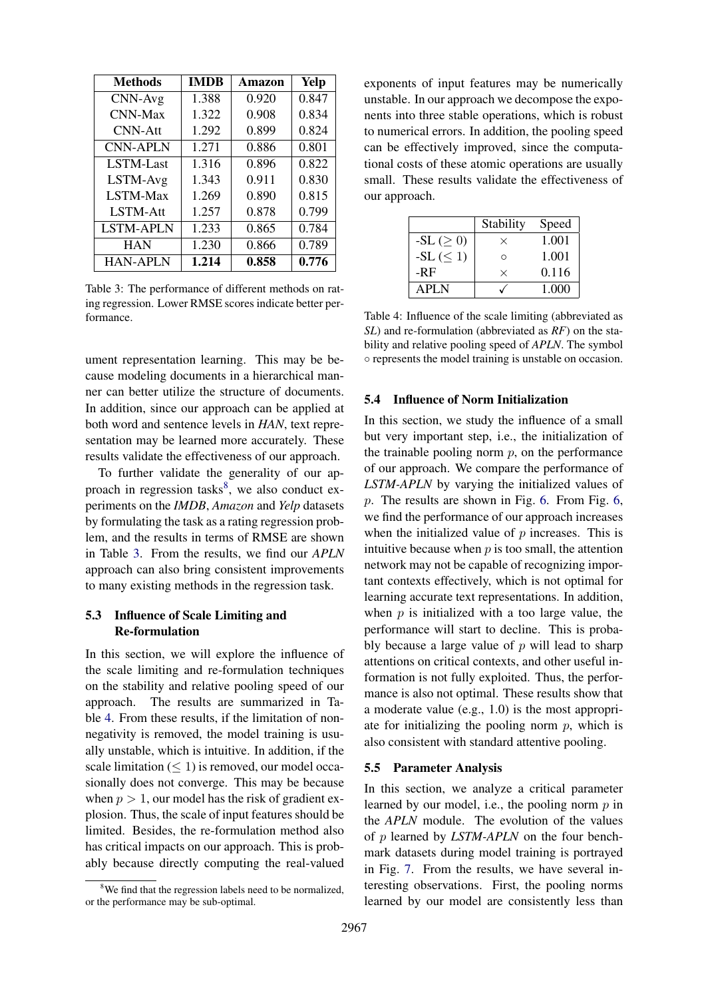<span id="page-6-1"></span>

| <b>Methods</b>   | <b>IMDB</b> | Amazon | <b>Yelp</b> |
|------------------|-------------|--------|-------------|
| CNN-Avg          | 1.388       | 0.920  | 0.847       |
| CNN-Max          | 1.322       | 0.908  | 0.834       |
| $CNN-Att$        | 1.292       | 0.899  | 0.824       |
| <b>CNN-APLN</b>  | 1.271       | 0.886  | 0.801       |
| LSTM-Last        | 1.316       | 0.896  | 0.822       |
| LSTM-Avg         | 1.343       | 0.911  | 0.830       |
| LSTM-Max         | 1.269       | 0.890  | 0.815       |
| LSTM-Att         | 1.257       | 0.878  | 0.799       |
| <b>LSTM-APLN</b> | 1.233       | 0.865  | 0.784       |
| <b>HAN</b>       | 1.230       | 0.866  | 0.789       |
| <b>HAN-APLN</b>  | 1.214       | 0.858  | 0.776       |

Table 3: The performance of different methods on rating regression. Lower RMSE scores indicate better performance.

ument representation learning. This may be because modeling documents in a hierarchical manner can better utilize the structure of documents. In addition, since our approach can be applied at both word and sentence levels in *HAN*, text representation may be learned more accurately. These results validate the effectiveness of our approach.

To further validate the generality of our approach in regression tasks $8$ , we also conduct experiments on the *IMDB*, *Amazon* and *Yelp* datasets by formulating the task as a rating regression problem, and the results in terms of RMSE are shown in Table [3.](#page-6-1) From the results, we find our *APLN* approach can also bring consistent improvements to many existing methods in the regression task.

# 5.3 Influence of Scale Limiting and Re-formulation

In this section, we will explore the influence of the scale limiting and re-formulation techniques on the stability and relative pooling speed of our approach. The results are summarized in Table [4.](#page-6-2) From these results, if the limitation of nonnegativity is removed, the model training is usually unstable, which is intuitive. In addition, if the scale limitation  $(< 1$ ) is removed, our model occasionally does not converge. This may be because when  $p > 1$ , our model has the risk of gradient explosion. Thus, the scale of input features should be limited. Besides, the re-formulation method also has critical impacts on our approach. This is probably because directly computing the real-valued exponents of input features may be numerically unstable. In our approach we decompose the exponents into three stable operations, which is robust to numerical errors. In addition, the pooling speed can be effectively improved, since the computational costs of these atomic operations are usually small. These results validate the effectiveness of our approach.

<span id="page-6-2"></span>

|              | Stability | Speed |
|--------------|-----------|-------|
| $-SL \geq 0$ | $\times$  | 1.001 |
| $-SL \leq 1$ | Ω         | 1.001 |
| -RF          | $\times$  | 0.116 |
| APLN         |           | 1.000 |

Table 4: Influence of the scale limiting (abbreviated as *SL*) and re-formulation (abbreviated as *RF*) on the stability and relative pooling speed of *APLN*. The symbol ◦ represents the model training is unstable on occasion.

# 5.4 Influence of Norm Initialization

In this section, we study the influence of a small but very important step, i.e., the initialization of the trainable pooling norm  $p$ , on the performance of our approach. We compare the performance of *LSTM-APLN* by varying the initialized values of p. The results are shown in Fig. [6.](#page-7-0) From Fig. [6,](#page-7-0) we find the performance of our approach increases when the initialized value of  $p$  increases. This is intuitive because when  $p$  is too small, the attention network may not be capable of recognizing important contexts effectively, which is not optimal for learning accurate text representations. In addition, when  $p$  is initialized with a too large value, the performance will start to decline. This is probably because a large value of  $p$  will lead to sharp attentions on critical contexts, and other useful information is not fully exploited. Thus, the performance is also not optimal. These results show that a moderate value (e.g., 1.0) is the most appropriate for initializing the pooling norm  $p$ , which is also consistent with standard attentive pooling.

#### 5.5 Parameter Analysis

In this section, we analyze a critical parameter learned by our model, i.e., the pooling norm  $p$  in the *APLN* module. The evolution of the values of p learned by *LSTM-APLN* on the four benchmark datasets during model training is portrayed in Fig. [7.](#page-7-1) From the results, we have several interesting observations. First, the pooling norms learned by our model are consistently less than

<span id="page-6-0"></span><sup>&</sup>lt;sup>8</sup>We find that the regression labels need to be normalized, or the performance may be sub-optimal.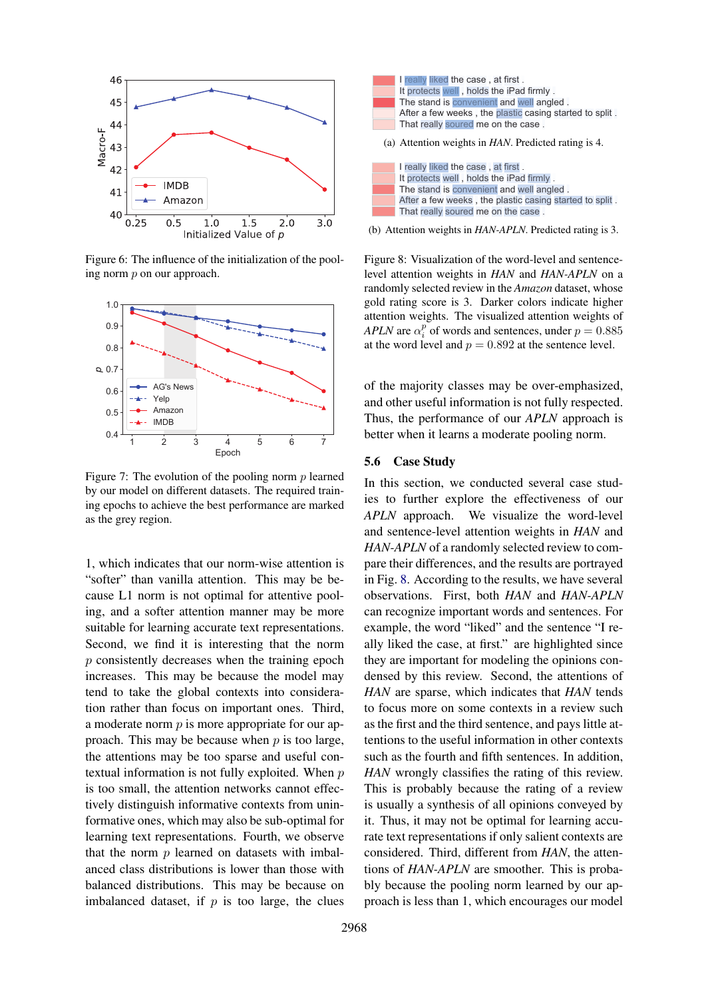<span id="page-7-0"></span>

Figure 6: The influence of the initialization of the pooling norm p on our approach.

<span id="page-7-1"></span>

Figure 7: The evolution of the pooling norm  $p$  learned by our model on different datasets. The required training epochs to achieve the best performance are marked as the grey region.

1, which indicates that our norm-wise attention is "softer" than vanilla attention. This may be because L1 norm is not optimal for attentive pooling, and a softer attention manner may be more suitable for learning accurate text representations. Second, we find it is interesting that the norm p consistently decreases when the training epoch increases. This may be because the model may tend to take the global contexts into consideration rather than focus on important ones. Third, a moderate norm  $p$  is more appropriate for our approach. This may be because when  $p$  is too large, the attentions may be too sparse and useful contextual information is not fully exploited. When  $p$ is too small, the attention networks cannot effectively distinguish informative contexts from uninformative ones, which may also be sub-optimal for learning text representations. Fourth, we observe that the norm  $p$  learned on datasets with imbalanced class distributions is lower than those with balanced distributions. This may be because on Figure 6. The reduction of the product of the material interest in the case of the material interest in the because of  $\mu$  really likely like and the real interest in the content of the case of the material interest when

<span id="page-7-2"></span>

(b) Attention weights in *HAN-APLN*. Predicted rating is 3.

Figure 8: Visualization of the word-level and sentencelevel attention weights in *HAN* and *HAN-APLN* on a randomly selected review in the *Amazon* dataset, whose gold rating score is 3. Darker colors indicate higher attention weights. The visualized attention weights of *APLN* are  $\alpha_i^p$  of words and sentences, under  $p = 0.885$ at the word level and  $p = 0.892$  at the sentence level.

of the majority classes may be over-emphasized, and other useful information is not fully respected. Thus, the performance of our *APLN* approach is better when it learns a moderate pooling norm.

#### 5.6 Case Study

In this section, we conducted several case studies to further explore the effectiveness of our *APLN* approach. We visualize the word-level and sentence-level attention weights in *HAN* and *HAN-APLN* of a randomly selected review to compare their differences, and the results are portrayed in Fig. [8.](#page-7-2) According to the results, we have several observations. First, both *HAN* and *HAN-APLN* can recognize important words and sentences. For example, the word "liked" and the sentence "I really liked the case, at first." are highlighted since they are important for modeling the opinions condensed by this review. Second, the attentions of *HAN* are sparse, which indicates that *HAN* tends to focus more on some contexts in a review such as the first and the third sentence, and pays little attentions to the useful information in other contexts such as the fourth and fifth sentences. In addition, *HAN* wrongly classifies the rating of this review. This is probably because the rating of a review is usually a synthesis of all opinions conveyed by it. Thus, it may not be optimal for learning accurate text representations if only salient contexts are considered. Third, different from *HAN*, the attentions of *HAN-APLN* are smoother. This is probably because the pooling norm learned by our approach is less than 1, which encourages our model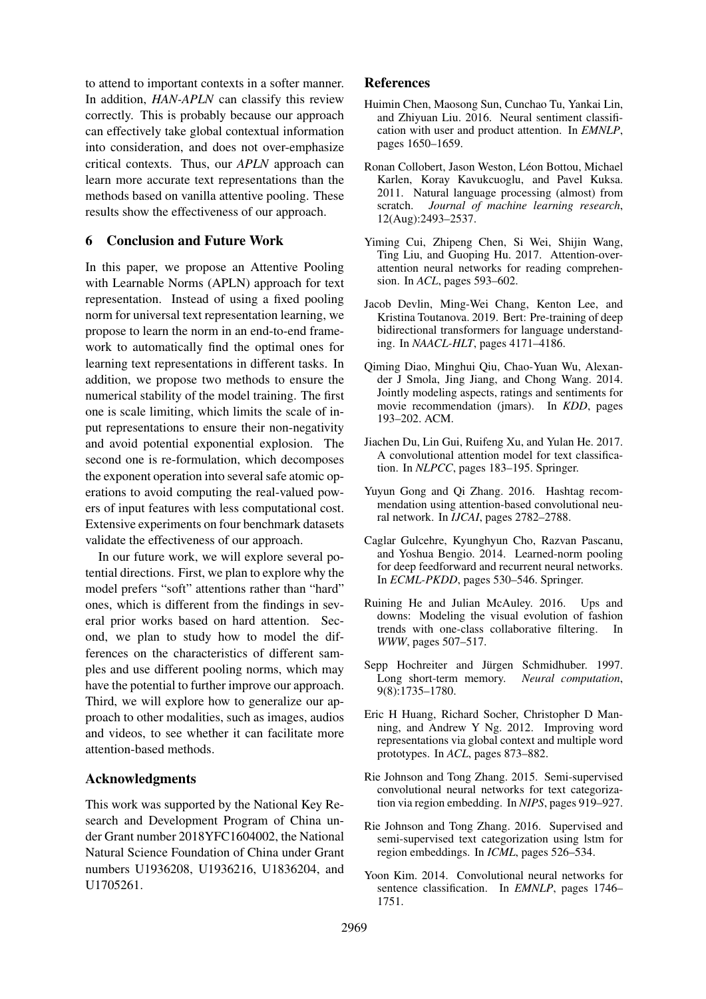to attend to important contexts in a softer manner. In addition, *HAN-APLN* can classify this review correctly. This is probably because our approach can effectively take global contextual information into consideration, and does not over-emphasize critical contexts. Thus, our *APLN* approach can learn more accurate text representations than the methods based on vanilla attentive pooling. These results show the effectiveness of our approach.

# 6 Conclusion and Future Work

In this paper, we propose an Attentive Pooling with Learnable Norms (APLN) approach for text representation. Instead of using a fixed pooling norm for universal text representation learning, we propose to learn the norm in an end-to-end framework to automatically find the optimal ones for learning text representations in different tasks. In addition, we propose two methods to ensure the numerical stability of the model training. The first one is scale limiting, which limits the scale of input representations to ensure their non-negativity and avoid potential exponential explosion. The second one is re-formulation, which decomposes the exponent operation into several safe atomic operations to avoid computing the real-valued powers of input features with less computational cost. Extensive experiments on four benchmark datasets validate the effectiveness of our approach.

In our future work, we will explore several potential directions. First, we plan to explore why the model prefers "soft" attentions rather than "hard" ones, which is different from the findings in several prior works based on hard attention. Second, we plan to study how to model the differences on the characteristics of different samples and use different pooling norms, which may have the potential to further improve our approach. Third, we will explore how to generalize our approach to other modalities, such as images, audios and videos, to see whether it can facilitate more attention-based methods.

## Acknowledgments

This work was supported by the National Key Research and Development Program of China under Grant number 2018YFC1604002, the National Natural Science Foundation of China under Grant numbers U1936208, U1936216, U1836204, and U1705261.

# References

- <span id="page-8-6"></span>Huimin Chen, Maosong Sun, Cunchao Tu, Yankai Lin, and Zhiyuan Liu. 2016. Neural sentiment classification with user and product attention. In *EMNLP*, pages 1650–1659.
- <span id="page-8-1"></span>Ronan Collobert, Jason Weston, Léon Bottou, Michael Karlen, Koray Kavukcuoglu, and Pavel Kuksa. 2011. Natural language processing (almost) from scratch. *Journal of machine learning research*, 12(Aug):2493–2537.
- <span id="page-8-3"></span>Yiming Cui, Zhipeng Chen, Si Wei, Shijin Wang, Ting Liu, and Guoping Hu. 2017. Attention-overattention neural networks for reading comprehension. In *ACL*, pages 593–602.
- <span id="page-8-4"></span>Jacob Devlin, Ming-Wei Chang, Kenton Lee, and Kristina Toutanova. 2019. Bert: Pre-training of deep bidirectional transformers for language understanding. In *NAACL-HLT*, pages 4171–4186.
- <span id="page-8-9"></span>Qiming Diao, Minghui Qiu, Chao-Yuan Wu, Alexander J Smola, Jing Jiang, and Chong Wang. 2014. Jointly modeling aspects, ratings and sentiments for movie recommendation (jmars). In *KDD*, pages 193–202. ACM.
- <span id="page-8-7"></span>Jiachen Du, Lin Gui, Ruifeng Xu, and Yulan He. 2017. A convolutional attention model for text classification. In *NLPCC*, pages 183–195. Springer.
- <span id="page-8-11"></span>Yuyun Gong and Qi Zhang. 2016. Hashtag recommendation using attention-based convolutional neural network. In *IJCAI*, pages 2782–2788.
- <span id="page-8-8"></span>Caglar Gulcehre, Kyunghyun Cho, Razvan Pascanu, and Yoshua Bengio. 2014. Learned-norm pooling for deep feedforward and recurrent neural networks. In *ECML-PKDD*, pages 530–546. Springer.
- <span id="page-8-10"></span>Ruining He and Julian McAuley. 2016. Ups and downs: Modeling the visual evolution of fashion trends with one-class collaborative filtering. *WWW*, pages 507–517.
- <span id="page-8-12"></span>Sepp Hochreiter and Jürgen Schmidhuber. 1997. Long short-term memory. *Neural computation*, 9(8):1735–1780.
- <span id="page-8-5"></span>Eric H Huang, Richard Socher, Christopher D Manning, and Andrew Y Ng. 2012. Improving word representations via global context and multiple word prototypes. In *ACL*, pages 873–882.
- <span id="page-8-0"></span>Rie Johnson and Tong Zhang. 2015. Semi-supervised convolutional neural networks for text categorization via region embedding. In *NIPS*, pages 919–927.
- <span id="page-8-13"></span>Rie Johnson and Tong Zhang. 2016. Supervised and semi-supervised text categorization using lstm for region embeddings. In *ICML*, pages 526–534.
- <span id="page-8-2"></span>Yoon Kim. 2014. Convolutional neural networks for sentence classification. In *EMNLP*, pages 1746– 1751.